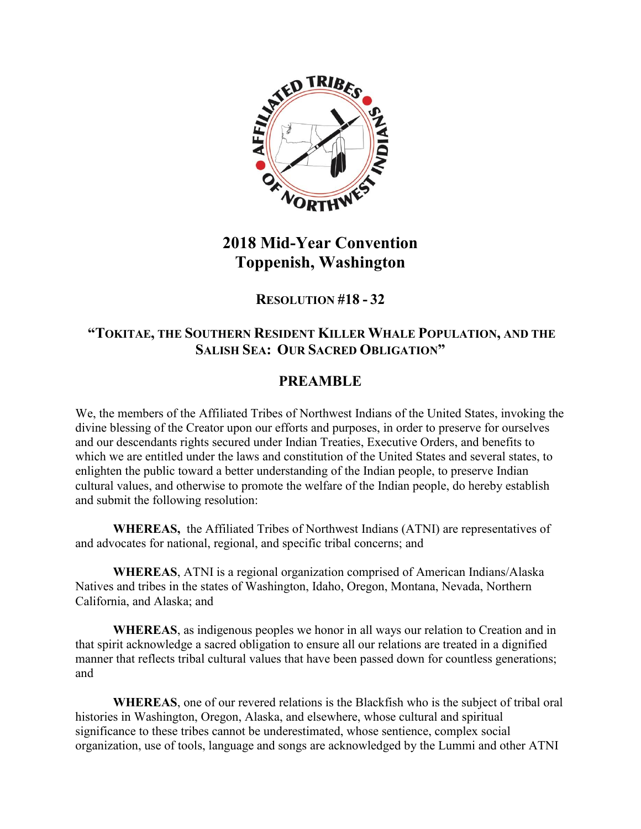

## **2018 Mid-Year Convention Toppenish, Washington**

### **RESOLUTION #18 - 32**

#### **"TOKITAE, THE SOUTHERN RESIDENT KILLER WHALE POPULATION, AND THE SALISH SEA: OUR SACRED OBLIGATION´**

### **PREAMBLE**

We, the members of the Affiliated Tribes of Northwest Indians of the United States, invoking the divine blessing of the Creator upon our efforts and purposes, in order to preserve for ourselves and our descendants rights secured under Indian Treaties, Executive Orders, and benefits to which we are entitled under the laws and constitution of the United States and several states, to enlighten the public toward a better understanding of the Indian people, to preserve Indian cultural values, and otherwise to promote the welfare of the Indian people, do hereby establish and submit the following resolution:

**WHEREAS,** the Affiliated Tribes of Northwest Indians (ATNI) are representatives of and advocates for national, regional, and specific tribal concerns; and

**WHEREAS**, ATNI is a regional organization comprised of American Indians/Alaska Natives and tribes in the states of Washington, Idaho, Oregon, Montana, Nevada, Northern California, and Alaska; and

**WHEREAS**, as indigenous peoples we honor in all ways our relation to Creation and in that spirit acknowledge a sacred obligation to ensure all our relations are treated in a dignified manner that reflects tribal cultural values that have been passed down for countless generations; and

**WHEREAS**, one of our revered relations is the Blackfish who is the subject of tribal oral histories in Washington, Oregon, Alaska, and elsewhere, whose cultural and spiritual significance to these tribes cannot be underestimated, whose sentience, complex social organization, use of tools, language and songs are acknowledged by the Lummi and other ATNI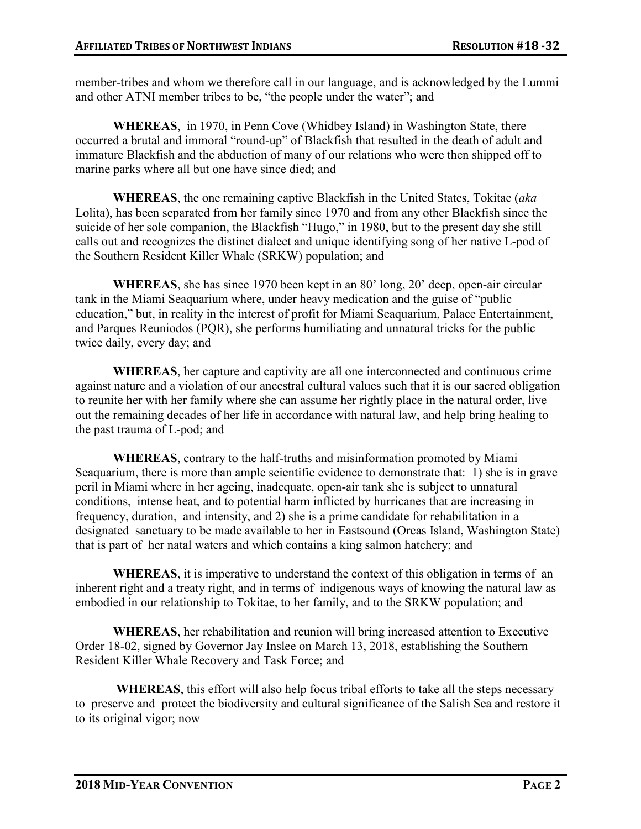member-tribes and whom we therefore call in our language, and is acknowledged by the Lummi and other ATNI member tribes to be, "the people under the water"; and

**WHEREAS**, in 1970, in Penn Cove (Whidbey Island) in Washington State, there occurred a brutal and immoral "round-up" of Blackfish that resulted in the death of adult and immature Blackfish and the abduction of many of our relations who were then shipped off to marine parks where all but one have since died; and

**WHEREAS**, the one remaining captive Blackfish in the United States, Tokitae (*aka* Lolita), has been separated from her family since 1970 and from any other Blackfish since the suicide of her sole companion, the Blackfish "Hugo," in 1980, but to the present day she still calls out and recognizes the distinct dialect and unique identifying song of her native L-pod of the Southern Resident Killer Whale (SRKW) population; and

**WHEREAS**, she has since 1970 been kept in an 80 $^{\circ}$  long, 20 $^{\circ}$  deep, open-air circular tank in the Miami Seaquarium where, under heavy medication and the guise of "public education," but, in reality in the interest of profit for Miami Seaguarium, Palace Entertainment, and Parques Reuniodos (PQR), she performs humiliating and unnatural tricks for the public twice daily, every day; and

**WHEREAS**, her capture and captivity are all one interconnected and continuous crime against nature and a violation of our ancestral cultural values such that it is our sacred obligation to reunite her with her family where she can assume her rightly place in the natural order, live out the remaining decades of her life in accordance with natural law, and help bring healing to the past trauma of L-pod; and

**WHEREAS**, contrary to the half-truths and misinformation promoted by Miami Seaquarium, there is more than ample scientific evidence to demonstrate that: 1) she is in grave peril in Miami where in her ageing, inadequate, open-air tank she is subject to unnatural conditions, intense heat, and to potential harm inflicted by hurricanes that are increasing in frequency, duration, and intensity, and 2) she is a prime candidate for rehabilitation in a designated sanctuary to be made available to her in Eastsound (Orcas Island, Washington State) that is part of her natal waters and which contains a king salmon hatchery; and

**WHEREAS**, it is imperative to understand the context of this obligation in terms of an inherent right and a treaty right, and in terms of indigenous ways of knowing the natural law as embodied in our relationship to Tokitae, to her family, and to the SRKW population; and

**WHEREAS**, her rehabilitation and reunion will bring increased attention to Executive Order 18-02, signed by Governor Jay Inslee on March 13, 2018, establishing the Southern Resident Killer Whale Recovery and Task Force; and

**WHEREAS**, this effort will also help focus tribal efforts to take all the steps necessary to preserve and protect the biodiversity and cultural significance of the Salish Sea and restore it to its original vigor; now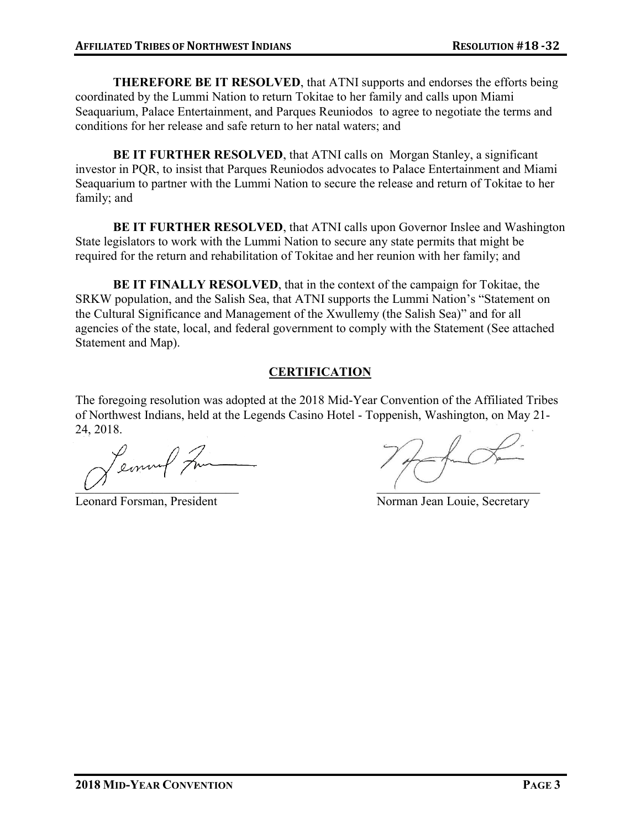**THEREFORE BE IT RESOLVED**, that ATNI supports and endorses the efforts being coordinated by the Lummi Nation to return Tokitae to her family and calls upon Miami Seaquarium, Palace Entertainment, and Parques Reuniodos to agree to negotiate the terms and conditions for her release and safe return to her natal waters; and

**BE IT FURTHER RESOLVED, that ATNI calls on Morgan Stanley, a significant** investor in PQR, to insist that Parques Reuniodos advocates to Palace Entertainment and Miami Seaquarium to partner with the Lummi Nation to secure the release and return of Tokitae to her family; and

**BE IT FURTHER RESOLVED**, that ATNI calls upon Governor Inslee and Washington State legislators to work with the Lummi Nation to secure any state permits that might be required for the return and rehabilitation of Tokitae and her reunion with her family; and

**BE IT FINALLY RESOLVED**, that in the context of the campaign for Tokitae, the SRKW population, and the Salish Sea, that ATNI supports the Lummi Nation's "Statement on the Cultural Significance and Management of the Xwullemy (the Salish Sea)<sup>"</sup> and for all agencies of the state, local, and federal government to comply with the Statement (See attached Statement and Map).

#### **CERTIFICATION**

The foregoing resolution was adopted at the 2018 Mid-Year Convention of the Affiliated Tribes of Northwest Indians, held at the Legends Casino Hotel - Toppenish, Washington, on May 21- 24, 2018.

Leonnal Fra \_\_\_\_\_\_\_\_\_\_\_\_\_\_\_\_\_\_\_\_\_\_\_\_\_\_ \_\_\_\_\_\_\_\_\_\_\_\_\_\_\_\_\_\_\_\_\_\_\_\_\_\_

Leonard Forsman, President Norman Jean Louie, Secretary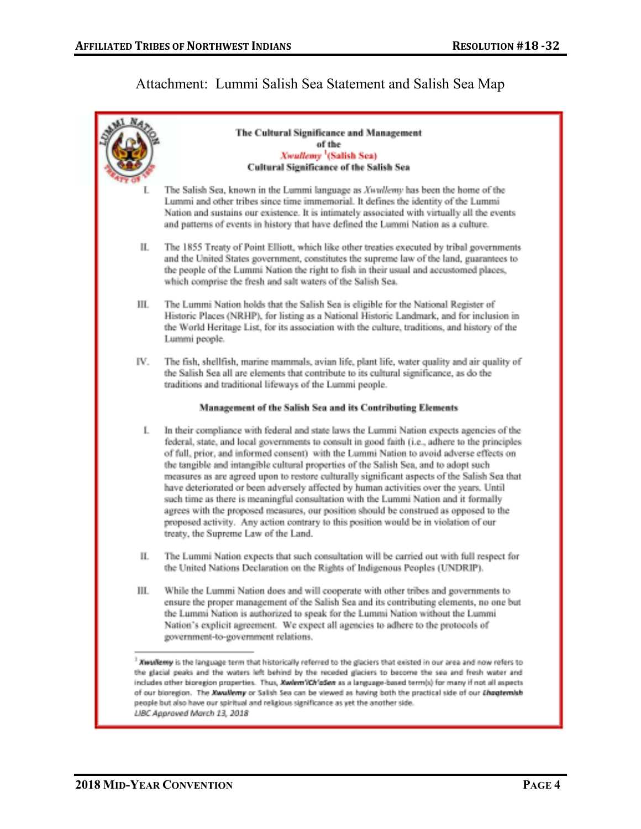# Attachment: Lummi Salish Sea Statement and Salish Sea Map

|                                                                                                                                                                                                                                                                                                                                                                                                                                                                                                                                                                                                                | The Cultural Significance and Management<br>of the<br>Xwalleny <sup>1</sup> (Salish Sea)<br>Cultural Significance of the Salish Sea                                                                                                                                                                                                                                                                                                                                                                                                                                                                                                                                                                                                                                                                                                                                                     |
|----------------------------------------------------------------------------------------------------------------------------------------------------------------------------------------------------------------------------------------------------------------------------------------------------------------------------------------------------------------------------------------------------------------------------------------------------------------------------------------------------------------------------------------------------------------------------------------------------------------|-----------------------------------------------------------------------------------------------------------------------------------------------------------------------------------------------------------------------------------------------------------------------------------------------------------------------------------------------------------------------------------------------------------------------------------------------------------------------------------------------------------------------------------------------------------------------------------------------------------------------------------------------------------------------------------------------------------------------------------------------------------------------------------------------------------------------------------------------------------------------------------------|
| L                                                                                                                                                                                                                                                                                                                                                                                                                                                                                                                                                                                                              | The Salish Sea, known in the Lummi language as Xwallemy has been the home of the<br>Lummi and other tribes since time immemorial. It defines the identity of the Lummi<br>Nation and sustains our existence. It is intimately associated with virtually all the events<br>and patterns of events in history that have defined the Lummi Nation as a culture.                                                                                                                                                                                                                                                                                                                                                                                                                                                                                                                            |
| П.                                                                                                                                                                                                                                                                                                                                                                                                                                                                                                                                                                                                             | The 1855 Treaty of Point Elliott, which like other treaties executed by tribal governments<br>and the United States government, constitutes the supreme law of the land, guarantees to<br>the people of the Lummi Nation the right to fish in their usual and accustomed places,<br>which comprise the fresh and salt waters of the Salish Sea.                                                                                                                                                                                                                                                                                                                                                                                                                                                                                                                                         |
| Ш.                                                                                                                                                                                                                                                                                                                                                                                                                                                                                                                                                                                                             | The Lummi Nation holds that the Salish Sea is eligible for the National Register of<br>Historic Places (NRHP), for listing as a National Historic Landmark, and for inclusion in<br>the World Heritage List, for its association with the culture, traditions, and history of the<br>Lummi people.                                                                                                                                                                                                                                                                                                                                                                                                                                                                                                                                                                                      |
| IV.                                                                                                                                                                                                                                                                                                                                                                                                                                                                                                                                                                                                            | The fish, shellfish, marine mammals, avian life, plant life, water quality and air quality of<br>the Salish Sea all are elements that contribute to its cultural significance, as do the<br>traditions and traditional lifeways of the Lummi people.                                                                                                                                                                                                                                                                                                                                                                                                                                                                                                                                                                                                                                    |
| Management of the Salish Sea and its Contributing Elements                                                                                                                                                                                                                                                                                                                                                                                                                                                                                                                                                     |                                                                                                                                                                                                                                                                                                                                                                                                                                                                                                                                                                                                                                                                                                                                                                                                                                                                                         |
| L                                                                                                                                                                                                                                                                                                                                                                                                                                                                                                                                                                                                              | In their compliance with federal and state laws the Lummi Nation expects agencies of the<br>federal, state, and local governments to consult in good faith (i.e., adhere to the principles<br>of full, prior, and informed consent) with the Lummi Nation to avoid adverse effects on<br>the tangible and intangible cultural properties of the Salish Sea, and to adopt such<br>measures as are agreed upon to restore culturally significant aspects of the Salish Sea that<br>have deteriorated or been adversely affected by human activities over the years. Until<br>such time as there is meaningful consultation with the Lummi Nation and it formally<br>agrees with the proposed measures, our position should be construed as opposed to the<br>proposed activity. Any action contrary to this position would be in violation of our<br>treaty, the Supreme Law of the Land. |
| П.                                                                                                                                                                                                                                                                                                                                                                                                                                                                                                                                                                                                             | The Lummi Nation expects that such consultation will be carried out with full respect for<br>the United Nations Declaration on the Rights of Indigenous Peoples (UNDRIP).                                                                                                                                                                                                                                                                                                                                                                                                                                                                                                                                                                                                                                                                                                               |
| Ш.                                                                                                                                                                                                                                                                                                                                                                                                                                                                                                                                                                                                             | While the Lummi Nation does and will cooperate with other tribes and governments to<br>ensure the proper management of the Salish Sea and its contributing elements, no one but<br>the Lummi Nation is authorized to speak for the Lummi Nation without the Lummi<br>Nation's explicit agreement. We expect all agencies to adhere to the protocols of<br>government-to-government relations.                                                                                                                                                                                                                                                                                                                                                                                                                                                                                           |
| <sup>3</sup> XwwNerry is the language term that historically referred to the glaciers that existed in our area and now refers to<br>the glacial peaks and the waters left behind by the receded glaciers to become the sea and fresh water and<br>includes other bioregion properties. Thus, Xwlem/Ch'oSen as a language-based term(s) for many if not all aspects<br>of our bioregion. The Xwallemy or Salish Sea can be viewed as having both the practical side of our Lhagtemish<br>people but also have our spiritual and religious significance as yet the another side.<br>LIBC Approved March 13, 2018 |                                                                                                                                                                                                                                                                                                                                                                                                                                                                                                                                                                                                                                                                                                                                                                                                                                                                                         |